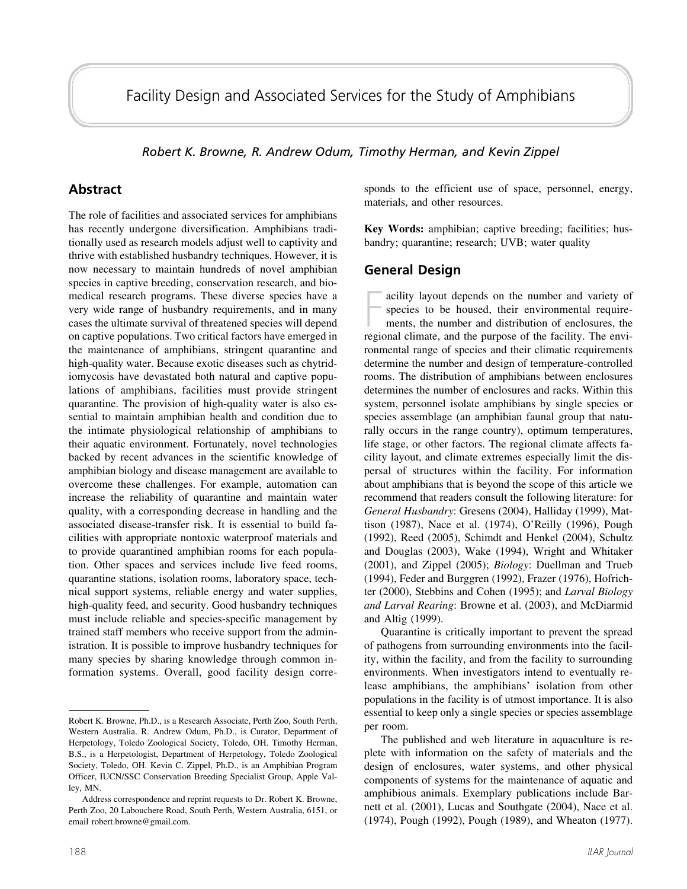# Facility Design and Associated Services for the Study of Amphibians

*Robert K. Browne, R. Andrew Odum, Timothy Herman, and Kevin Zippel*

### **Abstract**

The role of facilities and associated services for amphibians has recently undergone diversification. Amphibians traditionally used as research models adjust well to captivity and thrive with established husbandry techniques. However, it is now necessary to maintain hundreds of novel amphibian species in captive breeding, conservation research, and biomedical research programs. These diverse species have a very wide range of husbandry requirements, and in many cases the ultimate survival of threatened species will depend on captive populations. Two critical factors have emerged in the maintenance of amphibians, stringent quarantine and high-quality water. Because exotic diseases such as chytridiomycosis have devastated both natural and captive populations of amphibians, facilities must provide stringent quarantine. The provision of high-quality water is also essential to maintain amphibian health and condition due to the intimate physiological relationship of amphibians to their aquatic environment. Fortunately, novel technologies backed by recent advances in the scientific knowledge of amphibian biology and disease management are available to overcome these challenges. For example, automation can increase the reliability of quarantine and maintain water quality, with a corresponding decrease in handling and the associated disease-transfer risk. It is essential to build facilities with appropriate nontoxic waterproof materials and to provide quarantined amphibian rooms for each population. Other spaces and services include live feed rooms, quarantine stations, isolation rooms, laboratory space, technical support systems, reliable energy and water supplies, high-quality feed, and security. Good husbandry techniques must include reliable and species-specific management by trained staff members who receive support from the administration. It is possible to improve husbandry techniques for many species by sharing knowledge through common information systems. Overall, good facility design corresponds to the efficient use of space, personnel, energy, materials, and other resources.

**Key Words:** amphibian; captive breeding; facilities; husbandry; quarantine; research; UVB; water quality

### **General Design**

acility layout depends on the number and variety of species to be housed, their environmental requirements, the number and distribution of enclosures, the regional climate, and the purpose of the facility. The enviacility layout depends on the number and variety of species to be housed, their environmental requirements, the number and distribution of enclosures, the ronmental range of species and their climatic requirements determine the number and design of temperature-controlled rooms. The distribution of amphibians between enclosures determines the number of enclosures and racks. Within this system, personnel isolate amphibians by single species or species assemblage (an amphibian faunal group that naturally occurs in the range country), optimum temperatures, life stage, or other factors. The regional climate affects facility layout, and climate extremes especially limit the dispersal of structures within the facility. For information about amphibians that is beyond the scope of this article we recommend that readers consult the following literature: for *General Husbandry*: Gresens (2004), Halliday (1999), Mattison (1987), Nace et al. (1974), O'Reilly (1996), Pough (1992), Reed (2005), Schimdt and Henkel (2004), Schultz and Douglas (2003), Wake (1994), Wright and Whitaker (2001), and Zippel (2005); *Biology*: Duellman and Trueb (1994), Feder and Burggren (1992), Frazer (1976), Hofrichter (2000), Stebbins and Cohen (1995); and *Larval Biology and Larval Rearing*: Browne et al. (2003), and McDiarmid and Altig (1999).

Quarantine is critically important to prevent the spread of pathogens from surrounding environments into the facility, within the facility, and from the facility to surrounding environments. When investigators intend to eventually release amphibians, the amphibians' isolation from other populations in the facility is of utmost importance. It is also essential to keep only a single species or species assemblage per room.

The published and web literature in aquaculture is replete with information on the safety of materials and the design of enclosures, water systems, and other physical components of systems for the maintenance of aquatic and amphibious animals. Exemplary publications include Barnett et al. (2001), Lucas and Southgate (2004), Nace et al. (1974), Pough (1992), Pough (1989), and Wheaton (1977).

Robert K. Browne, Ph.D., is a Research Associate, Perth Zoo, South Perth, Western Australia. R. Andrew Odum, Ph.D., is Curator, Department of Herpetology, Toledo Zoological Society, Toledo, OH. Timothy Herman, B.S., is a Herpetologist, Department of Herpetology, Toledo Zoological Society, Toledo, OH. Kevin C. Zippel, Ph.D., is an Amphibian Program Officer, IUCN/SSC Conservation Breeding Specialist Group, Apple Valley, MN.

Address correspondence and reprint requests to Dr. Robert K. Browne, Perth Zoo, 20 Labouchere Road, South Perth, Western Australia, 6151, or email robert.browne@gmail.com.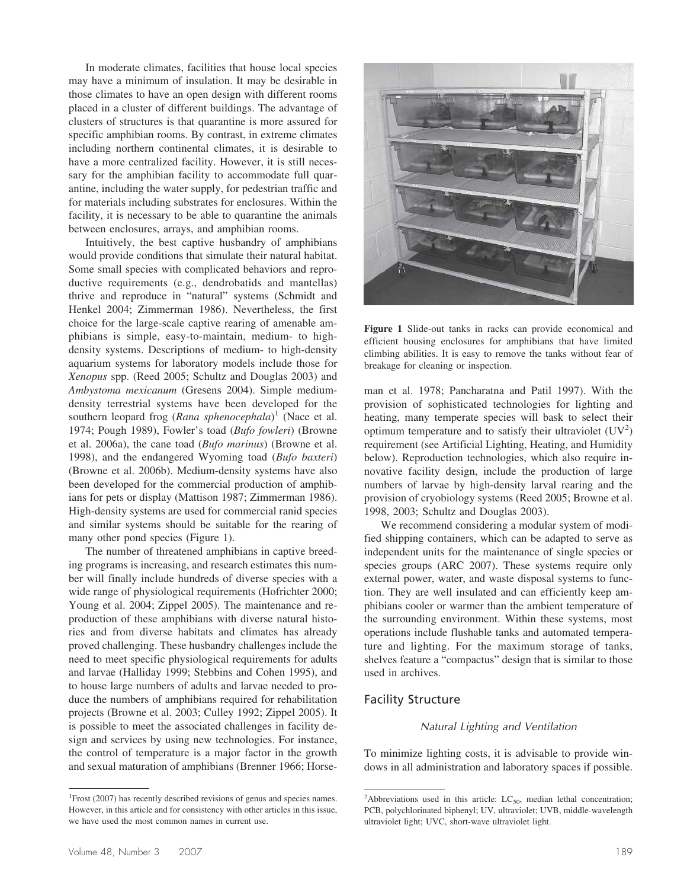In moderate climates, facilities that house local species may have a minimum of insulation. It may be desirable in those climates to have an open design with different rooms placed in a cluster of different buildings. The advantage of clusters of structures is that quarantine is more assured for specific amphibian rooms. By contrast, in extreme climates including northern continental climates, it is desirable to have a more centralized facility. However, it is still necessary for the amphibian facility to accommodate full quarantine, including the water supply, for pedestrian traffic and for materials including substrates for enclosures. Within the facility, it is necessary to be able to quarantine the animals between enclosures, arrays, and amphibian rooms.

Intuitively, the best captive husbandry of amphibians would provide conditions that simulate their natural habitat. Some small species with complicated behaviors and reproductive requirements (e.g., dendrobatids and mantellas) thrive and reproduce in "natural" systems (Schmidt and Henkel 2004; Zimmerman 1986). Nevertheless, the first choice for the large-scale captive rearing of amenable amphibians is simple, easy-to-maintain, medium- to highdensity systems. Descriptions of medium- to high-density aquarium systems for laboratory models include those for *Xenopus* spp. (Reed 2005; Schultz and Douglas 2003) and *Ambystoma mexicanum* (Gresens 2004). Simple mediumdensity terrestrial systems have been developed for the southern leopard frog (*Rana sphenocephala*)<sup>1</sup> (Nace et al. 1974; Pough 1989), Fowler's toad (*Bufo fowleri*) (Browne et al. 2006a), the cane toad (*Bufo marinus*) (Browne et al. 1998), and the endangered Wyoming toad (*Bufo baxteri*) (Browne et al. 2006b). Medium-density systems have also been developed for the commercial production of amphibians for pets or display (Mattison 1987; Zimmerman 1986). High-density systems are used for commercial ranid species and similar systems should be suitable for the rearing of many other pond species (Figure 1).

The number of threatened amphibians in captive breeding programs is increasing, and research estimates this number will finally include hundreds of diverse species with a wide range of physiological requirements (Hofrichter 2000; Young et al. 2004; Zippel 2005). The maintenance and reproduction of these amphibians with diverse natural histories and from diverse habitats and climates has already proved challenging. These husbandry challenges include the need to meet specific physiological requirements for adults and larvae (Halliday 1999; Stebbins and Cohen 1995), and to house large numbers of adults and larvae needed to produce the numbers of amphibians required for rehabilitation projects (Browne et al. 2003; Culley 1992; Zippel 2005). It is possible to meet the associated challenges in facility design and services by using new technologies. For instance, the control of temperature is a major factor in the growth and sexual maturation of amphibians (Brenner 1966; Horse-



**Figure 1** Slide-out tanks in racks can provide economical and efficient housing enclosures for amphibians that have limited climbing abilities. It is easy to remove the tanks without fear of breakage for cleaning or inspection.

man et al. 1978; Pancharatna and Patil 1997). With the provision of sophisticated technologies for lighting and heating, many temperate species will bask to select their optimum temperature and to satisfy their ultraviolet  $(UV^2)$ requirement (see Artificial Lighting, Heating, and Humidity below). Reproduction technologies, which also require innovative facility design, include the production of large numbers of larvae by high-density larval rearing and the provision of cryobiology systems (Reed 2005; Browne et al. 1998, 2003; Schultz and Douglas 2003).

We recommend considering a modular system of modified shipping containers, which can be adapted to serve as independent units for the maintenance of single species or species groups (ARC 2007). These systems require only external power, water, and waste disposal systems to function. They are well insulated and can efficiently keep amphibians cooler or warmer than the ambient temperature of the surrounding environment. Within these systems, most operations include flushable tanks and automated temperature and lighting. For the maximum storage of tanks, shelves feature a "compactus" design that is similar to those used in archives.

#### Facility Structure

#### *Natural Lighting and Ventilation*

To minimize lighting costs, it is advisable to provide windows in all administration and laboratory spaces if possible.

<sup>&</sup>lt;sup>1</sup>Frost (2007) has recently described revisions of genus and species names. However, in this article and for consistency with other articles in this issue, we have used the most common names in current use.

<sup>&</sup>lt;sup>2</sup>Abbreviations used in this article:  $LC_{50}$ , median lethal concentration; PCB, polychlorinated biphenyl; UV, ultraviolet; UVB, middle-wavelength ultraviolet light; UVC, short-wave ultraviolet light.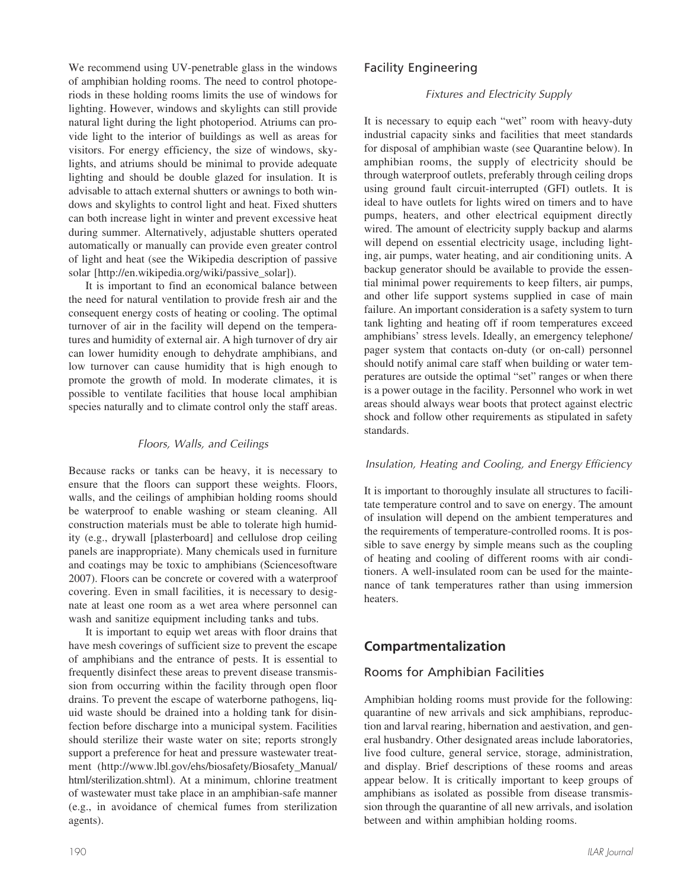We recommend using UV-penetrable glass in the windows of amphibian holding rooms. The need to control photoperiods in these holding rooms limits the use of windows for lighting. However, windows and skylights can still provide natural light during the light photoperiod. Atriums can provide light to the interior of buildings as well as areas for visitors. For energy efficiency, the size of windows, skylights, and atriums should be minimal to provide adequate lighting and should be double glazed for insulation. It is advisable to attach external shutters or awnings to both windows and skylights to control light and heat. Fixed shutters can both increase light in winter and prevent excessive heat during summer. Alternatively, adjustable shutters operated automatically or manually can provide even greater control of light and heat (see the Wikipedia description of passive solar [http://en.wikipedia.org/wiki/passive\_solar]).

It is important to find an economical balance between the need for natural ventilation to provide fresh air and the consequent energy costs of heating or cooling. The optimal turnover of air in the facility will depend on the temperatures and humidity of external air. A high turnover of dry air can lower humidity enough to dehydrate amphibians, and low turnover can cause humidity that is high enough to promote the growth of mold. In moderate climates, it is possible to ventilate facilities that house local amphibian species naturally and to climate control only the staff areas.

### *Floors, Walls, and Ceilings*

Because racks or tanks can be heavy, it is necessary to ensure that the floors can support these weights. Floors, walls, and the ceilings of amphibian holding rooms should be waterproof to enable washing or steam cleaning. All construction materials must be able to tolerate high humidity (e.g., drywall [plasterboard] and cellulose drop ceiling panels are inappropriate). Many chemicals used in furniture and coatings may be toxic to amphibians (Sciencesoftware 2007). Floors can be concrete or covered with a waterproof covering. Even in small facilities, it is necessary to designate at least one room as a wet area where personnel can wash and sanitize equipment including tanks and tubs.

It is important to equip wet areas with floor drains that have mesh coverings of sufficient size to prevent the escape of amphibians and the entrance of pests. It is essential to frequently disinfect these areas to prevent disease transmission from occurring within the facility through open floor drains. To prevent the escape of waterborne pathogens, liquid waste should be drained into a holding tank for disinfection before discharge into a municipal system. Facilities should sterilize their waste water on site; reports strongly support a preference for heat and pressure wastewater treatment (http://www.lbl.gov/ehs/biosafety/Biosafety\_Manual/ html/sterilization.shtml). At a minimum, chlorine treatment of wastewater must take place in an amphibian-safe manner (e.g., in avoidance of chemical fumes from sterilization agents).

# Facility Engineering

### *Fixtures and Electricity Supply*

It is necessary to equip each "wet" room with heavy-duty industrial capacity sinks and facilities that meet standards for disposal of amphibian waste (see Quarantine below). In amphibian rooms, the supply of electricity should be through waterproof outlets, preferably through ceiling drops using ground fault circuit-interrupted (GFI) outlets. It is ideal to have outlets for lights wired on timers and to have pumps, heaters, and other electrical equipment directly wired. The amount of electricity supply backup and alarms will depend on essential electricity usage, including lighting, air pumps, water heating, and air conditioning units. A backup generator should be available to provide the essential minimal power requirements to keep filters, air pumps, and other life support systems supplied in case of main failure. An important consideration is a safety system to turn tank lighting and heating off if room temperatures exceed amphibians' stress levels. Ideally, an emergency telephone/ pager system that contacts on-duty (or on-call) personnel should notify animal care staff when building or water temperatures are outside the optimal "set" ranges or when there is a power outage in the facility. Personnel who work in wet areas should always wear boots that protect against electric shock and follow other requirements as stipulated in safety standards.

### *Insulation, Heating and Cooling, and Energy Efficiency*

It is important to thoroughly insulate all structures to facilitate temperature control and to save on energy. The amount of insulation will depend on the ambient temperatures and the requirements of temperature-controlled rooms. It is possible to save energy by simple means such as the coupling of heating and cooling of different rooms with air conditioners. A well-insulated room can be used for the maintenance of tank temperatures rather than using immersion heaters.

# **Compartmentalization**

# Rooms for Amphibian Facilities

Amphibian holding rooms must provide for the following: quarantine of new arrivals and sick amphibians, reproduction and larval rearing, hibernation and aestivation, and general husbandry. Other designated areas include laboratories, live food culture, general service, storage, administration, and display. Brief descriptions of these rooms and areas appear below. It is critically important to keep groups of amphibians as isolated as possible from disease transmission through the quarantine of all new arrivals, and isolation between and within amphibian holding rooms.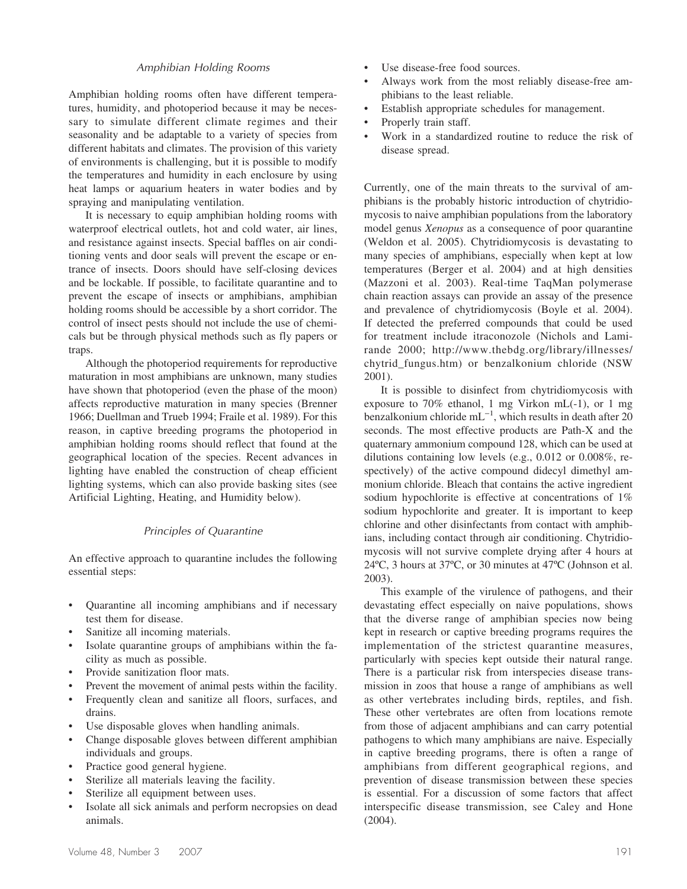#### *Amphibian Holding Rooms*

Amphibian holding rooms often have different temperatures, humidity, and photoperiod because it may be necessary to simulate different climate regimes and their seasonality and be adaptable to a variety of species from different habitats and climates. The provision of this variety of environments is challenging, but it is possible to modify the temperatures and humidity in each enclosure by using heat lamps or aquarium heaters in water bodies and by spraying and manipulating ventilation.

It is necessary to equip amphibian holding rooms with waterproof electrical outlets, hot and cold water, air lines, and resistance against insects. Special baffles on air conditioning vents and door seals will prevent the escape or entrance of insects. Doors should have self-closing devices and be lockable. If possible, to facilitate quarantine and to prevent the escape of insects or amphibians, amphibian holding rooms should be accessible by a short corridor. The control of insect pests should not include the use of chemicals but be through physical methods such as fly papers or traps.

Although the photoperiod requirements for reproductive maturation in most amphibians are unknown, many studies have shown that photoperiod (even the phase of the moon) affects reproductive maturation in many species (Brenner 1966; Duellman and Trueb 1994; Fraile et al. 1989). For this reason, in captive breeding programs the photoperiod in amphibian holding rooms should reflect that found at the geographical location of the species. Recent advances in lighting have enabled the construction of cheap efficient lighting systems, which can also provide basking sites (see Artificial Lighting, Heating, and Humidity below).

#### *Principles of Quarantine*

An effective approach to quarantine includes the following essential steps:

- Quarantine all incoming amphibians and if necessary test them for disease.
- Sanitize all incoming materials.
- Isolate quarantine groups of amphibians within the facility as much as possible.
- Provide sanitization floor mats.
- Prevent the movement of animal pests within the facility.
- Frequently clean and sanitize all floors, surfaces, and drains.
- Use disposable gloves when handling animals.
- Change disposable gloves between different amphibian individuals and groups.
- Practice good general hygiene.
- Sterilize all materials leaving the facility.
- Sterilize all equipment between uses.
- Isolate all sick animals and perform necropsies on dead animals.
- Use disease-free food sources.
- Always work from the most reliably disease-free amphibians to the least reliable.
- Establish appropriate schedules for management.
- Properly train staff.
- Work in a standardized routine to reduce the risk of disease spread.

Currently, one of the main threats to the survival of amphibians is the probably historic introduction of chytridiomycosis to naive amphibian populations from the laboratory model genus *Xenopus* as a consequence of poor quarantine (Weldon et al. 2005). Chytridiomycosis is devastating to many species of amphibians, especially when kept at low temperatures (Berger et al. 2004) and at high densities (Mazzoni et al. 2003). Real-time TaqMan polymerase chain reaction assays can provide an assay of the presence and prevalence of chytridiomycosis (Boyle et al. 2004). If detected the preferred compounds that could be used for treatment include itraconozole (Nichols and Lamirande 2000; http://www.thebdg.org/library/illnesses/ chytrid\_fungus.htm) or benzalkonium chloride (NSW 2001).

It is possible to disinfect from chytridiomycosis with exposure to 70% ethanol, 1 mg Virkon mL $(-1)$ , or 1 mg benzalkonium chloride mL<sup>-1</sup>, which results in death after 20 seconds. The most effective products are Path-X and the quaternary ammonium compound 128, which can be used at dilutions containing low levels (e.g., 0.012 or 0.008%, respectively) of the active compound didecyl dimethyl ammonium chloride. Bleach that contains the active ingredient sodium hypochlorite is effective at concentrations of 1% sodium hypochlorite and greater. It is important to keep chlorine and other disinfectants from contact with amphibians, including contact through air conditioning. Chytridiomycosis will not survive complete drying after 4 hours at 24ºC, 3 hours at 37ºC, or 30 minutes at 47ºC (Johnson et al. 2003).

This example of the virulence of pathogens, and their devastating effect especially on naive populations, shows that the diverse range of amphibian species now being kept in research or captive breeding programs requires the implementation of the strictest quarantine measures, particularly with species kept outside their natural range. There is a particular risk from interspecies disease transmission in zoos that house a range of amphibians as well as other vertebrates including birds, reptiles, and fish. These other vertebrates are often from locations remote from those of adjacent amphibians and can carry potential pathogens to which many amphibians are naive. Especially in captive breeding programs, there is often a range of amphibians from different geographical regions, and prevention of disease transmission between these species is essential. For a discussion of some factors that affect interspecific disease transmission, see Caley and Hone (2004).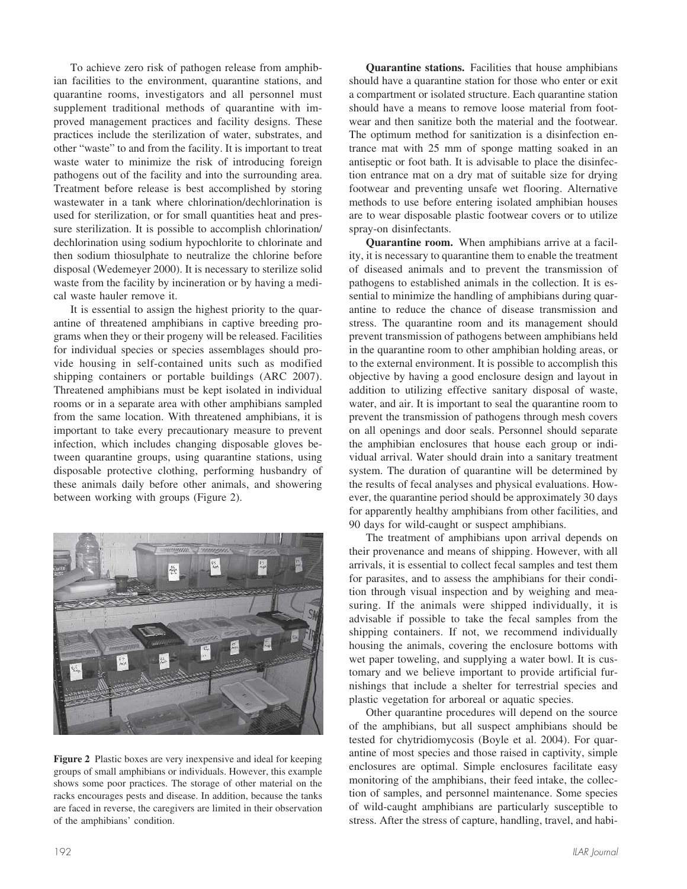To achieve zero risk of pathogen release from amphibian facilities to the environment, quarantine stations, and quarantine rooms, investigators and all personnel must supplement traditional methods of quarantine with improved management practices and facility designs. These practices include the sterilization of water, substrates, and other "waste" to and from the facility. It is important to treat waste water to minimize the risk of introducing foreign pathogens out of the facility and into the surrounding area. Treatment before release is best accomplished by storing wastewater in a tank where chlorination/dechlorination is used for sterilization, or for small quantities heat and pressure sterilization. It is possible to accomplish chlorination/ dechlorination using sodium hypochlorite to chlorinate and then sodium thiosulphate to neutralize the chlorine before disposal (Wedemeyer 2000). It is necessary to sterilize solid waste from the facility by incineration or by having a medical waste hauler remove it.

It is essential to assign the highest priority to the quarantine of threatened amphibians in captive breeding programs when they or their progeny will be released. Facilities for individual species or species assemblages should provide housing in self-contained units such as modified shipping containers or portable buildings (ARC 2007). Threatened amphibians must be kept isolated in individual rooms or in a separate area with other amphibians sampled from the same location. With threatened amphibians, it is important to take every precautionary measure to prevent infection, which includes changing disposable gloves between quarantine groups, using quarantine stations, using disposable protective clothing, performing husbandry of these animals daily before other animals, and showering between working with groups (Figure 2).



**Figure 2** Plastic boxes are very inexpensive and ideal for keeping groups of small amphibians or individuals. However, this example shows some poor practices. The storage of other material on the racks encourages pests and disease. In addition, because the tanks are faced in reverse, the caregivers are limited in their observation of the amphibians' condition.

**Quarantine stations.** Facilities that house amphibians should have a quarantine station for those who enter or exit a compartment or isolated structure. Each quarantine station should have a means to remove loose material from footwear and then sanitize both the material and the footwear. The optimum method for sanitization is a disinfection entrance mat with 25 mm of sponge matting soaked in an antiseptic or foot bath. It is advisable to place the disinfection entrance mat on a dry mat of suitable size for drying footwear and preventing unsafe wet flooring. Alternative methods to use before entering isolated amphibian houses are to wear disposable plastic footwear covers or to utilize spray-on disinfectants.

**Quarantine room.** When amphibians arrive at a facility, it is necessary to quarantine them to enable the treatment of diseased animals and to prevent the transmission of pathogens to established animals in the collection. It is essential to minimize the handling of amphibians during quarantine to reduce the chance of disease transmission and stress. The quarantine room and its management should prevent transmission of pathogens between amphibians held in the quarantine room to other amphibian holding areas, or to the external environment. It is possible to accomplish this objective by having a good enclosure design and layout in addition to utilizing effective sanitary disposal of waste, water, and air. It is important to seal the quarantine room to prevent the transmission of pathogens through mesh covers on all openings and door seals. Personnel should separate the amphibian enclosures that house each group or individual arrival. Water should drain into a sanitary treatment system. The duration of quarantine will be determined by the results of fecal analyses and physical evaluations. However, the quarantine period should be approximately 30 days for apparently healthy amphibians from other facilities, and 90 days for wild-caught or suspect amphibians.

The treatment of amphibians upon arrival depends on their provenance and means of shipping. However, with all arrivals, it is essential to collect fecal samples and test them for parasites, and to assess the amphibians for their condition through visual inspection and by weighing and measuring. If the animals were shipped individually, it is advisable if possible to take the fecal samples from the shipping containers. If not, we recommend individually housing the animals, covering the enclosure bottoms with wet paper toweling, and supplying a water bowl. It is customary and we believe important to provide artificial furnishings that include a shelter for terrestrial species and plastic vegetation for arboreal or aquatic species.

Other quarantine procedures will depend on the source of the amphibians, but all suspect amphibians should be tested for chytridiomycosis (Boyle et al. 2004). For quarantine of most species and those raised in captivity, simple enclosures are optimal. Simple enclosures facilitate easy monitoring of the amphibians, their feed intake, the collection of samples, and personnel maintenance. Some species of wild-caught amphibians are particularly susceptible to stress. After the stress of capture, handling, travel, and habi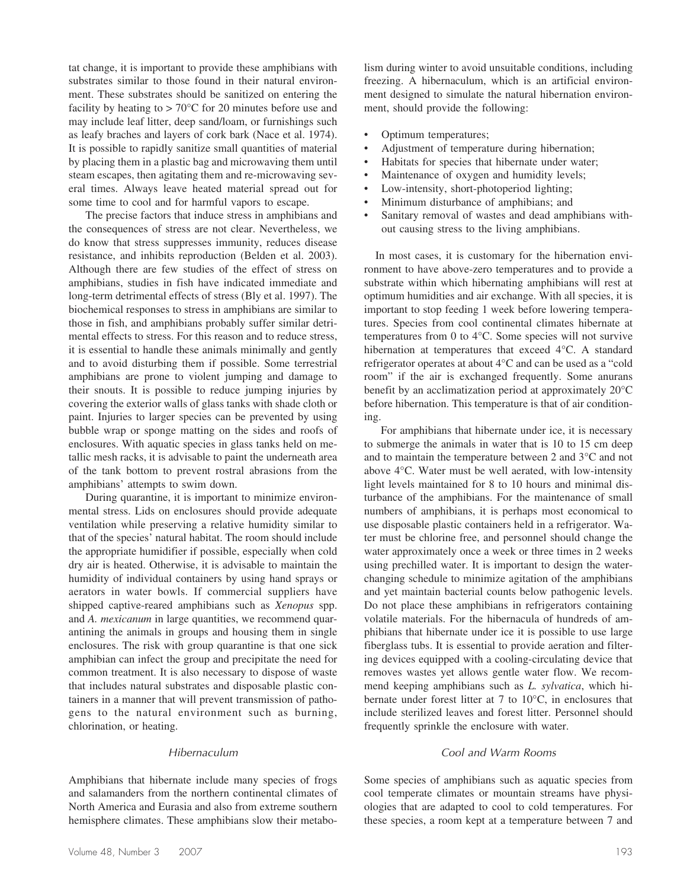tat change, it is important to provide these amphibians with substrates similar to those found in their natural environment. These substrates should be sanitized on entering the facility by heating to  $> 70^{\circ}$ C for 20 minutes before use and may include leaf litter, deep sand/loam, or furnishings such as leafy braches and layers of cork bark (Nace et al. 1974). It is possible to rapidly sanitize small quantities of material by placing them in a plastic bag and microwaving them until steam escapes, then agitating them and re-microwaving several times. Always leave heated material spread out for some time to cool and for harmful vapors to escape.

The precise factors that induce stress in amphibians and the consequences of stress are not clear. Nevertheless, we do know that stress suppresses immunity, reduces disease resistance, and inhibits reproduction (Belden et al. 2003). Although there are few studies of the effect of stress on amphibians, studies in fish have indicated immediate and long-term detrimental effects of stress (Bly et al. 1997). The biochemical responses to stress in amphibians are similar to those in fish, and amphibians probably suffer similar detrimental effects to stress. For this reason and to reduce stress, it is essential to handle these animals minimally and gently and to avoid disturbing them if possible. Some terrestrial amphibians are prone to violent jumping and damage to their snouts. It is possible to reduce jumping injuries by covering the exterior walls of glass tanks with shade cloth or paint. Injuries to larger species can be prevented by using bubble wrap or sponge matting on the sides and roofs of enclosures. With aquatic species in glass tanks held on metallic mesh racks, it is advisable to paint the underneath area of the tank bottom to prevent rostral abrasions from the amphibians' attempts to swim down.

During quarantine, it is important to minimize environmental stress. Lids on enclosures should provide adequate ventilation while preserving a relative humidity similar to that of the species' natural habitat. The room should include the appropriate humidifier if possible, especially when cold dry air is heated. Otherwise, it is advisable to maintain the humidity of individual containers by using hand sprays or aerators in water bowls. If commercial suppliers have shipped captive-reared amphibians such as *Xenopus* spp. and *A. mexicanum* in large quantities, we recommend quarantining the animals in groups and housing them in single enclosures. The risk with group quarantine is that one sick amphibian can infect the group and precipitate the need for common treatment. It is also necessary to dispose of waste that includes natural substrates and disposable plastic containers in a manner that will prevent transmission of pathogens to the natural environment such as burning, chlorination, or heating.

#### *Hibernaculum*

Amphibians that hibernate include many species of frogs and salamanders from the northern continental climates of North America and Eurasia and also from extreme southern hemisphere climates. These amphibians slow their metabolism during winter to avoid unsuitable conditions, including freezing. A hibernaculum, which is an artificial environment designed to simulate the natural hibernation environment, should provide the following:

- Optimum temperatures;
- Adjustment of temperature during hibernation;
- Habitats for species that hibernate under water;
- Maintenance of oxygen and humidity levels;
- Low-intensity, short-photoperiod lighting;
- Minimum disturbance of amphibians; and
- Sanitary removal of wastes and dead amphibians without causing stress to the living amphibians.

In most cases, it is customary for the hibernation environment to have above-zero temperatures and to provide a substrate within which hibernating amphibians will rest at optimum humidities and air exchange. With all species, it is important to stop feeding 1 week before lowering temperatures. Species from cool continental climates hibernate at temperatures from 0 to 4°C. Some species will not survive hibernation at temperatures that exceed 4°C. A standard refrigerator operates at about 4°C and can be used as a "cold room" if the air is exchanged frequently. Some anurans benefit by an acclimatization period at approximately 20°C before hibernation. This temperature is that of air conditioning.

For amphibians that hibernate under ice, it is necessary to submerge the animals in water that is 10 to 15 cm deep and to maintain the temperature between 2 and 3°C and not above 4°C. Water must be well aerated, with low-intensity light levels maintained for 8 to 10 hours and minimal disturbance of the amphibians. For the maintenance of small numbers of amphibians, it is perhaps most economical to use disposable plastic containers held in a refrigerator. Water must be chlorine free, and personnel should change the water approximately once a week or three times in 2 weeks using prechilled water. It is important to design the waterchanging schedule to minimize agitation of the amphibians and yet maintain bacterial counts below pathogenic levels. Do not place these amphibians in refrigerators containing volatile materials. For the hibernacula of hundreds of amphibians that hibernate under ice it is possible to use large fiberglass tubs. It is essential to provide aeration and filtering devices equipped with a cooling-circulating device that removes wastes yet allows gentle water flow. We recommend keeping amphibians such as *L. sylvatica*, which hibernate under forest litter at 7 to 10°C, in enclosures that include sterilized leaves and forest litter. Personnel should frequently sprinkle the enclosure with water.

#### *Cool and Warm Rooms*

Some species of amphibians such as aquatic species from cool temperate climates or mountain streams have physiologies that are adapted to cool to cold temperatures. For these species, a room kept at a temperature between 7 and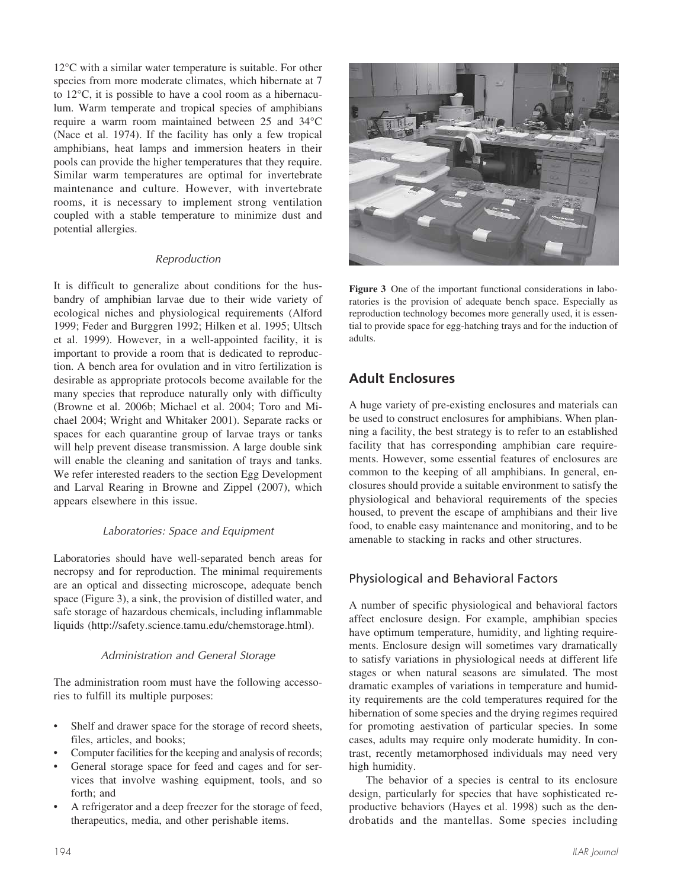12°C with a similar water temperature is suitable. For other species from more moderate climates, which hibernate at 7 to 12°C, it is possible to have a cool room as a hibernaculum. Warm temperate and tropical species of amphibians require a warm room maintained between 25 and 34°C (Nace et al. 1974). If the facility has only a few tropical amphibians, heat lamps and immersion heaters in their pools can provide the higher temperatures that they require. Similar warm temperatures are optimal for invertebrate maintenance and culture. However, with invertebrate rooms, it is necessary to implement strong ventilation coupled with a stable temperature to minimize dust and potential allergies.

#### *Reproduction*

It is difficult to generalize about conditions for the husbandry of amphibian larvae due to their wide variety of ecological niches and physiological requirements (Alford 1999; Feder and Burggren 1992; Hilken et al. 1995; Ultsch et al. 1999). However, in a well-appointed facility, it is important to provide a room that is dedicated to reproduction. A bench area for ovulation and in vitro fertilization is desirable as appropriate protocols become available for the many species that reproduce naturally only with difficulty (Browne et al. 2006b; Michael et al. 2004; Toro and Michael 2004; Wright and Whitaker 2001). Separate racks or spaces for each quarantine group of larvae trays or tanks will help prevent disease transmission. A large double sink will enable the cleaning and sanitation of trays and tanks. We refer interested readers to the section Egg Development and Larval Rearing in Browne and Zippel (2007), which appears elsewhere in this issue.

#### *Laboratories: Space and Equipment*

Laboratories should have well-separated bench areas for necropsy and for reproduction. The minimal requirements are an optical and dissecting microscope, adequate bench space (Figure 3), a sink, the provision of distilled water, and safe storage of hazardous chemicals, including inflammable liquids (http://safety.science.tamu.edu/chemstorage.html).

#### *Administration and General Storage*

The administration room must have the following accessories to fulfill its multiple purposes:

- Shelf and drawer space for the storage of record sheets, files, articles, and books;
- Computer facilities for the keeping and analysis of records;
- General storage space for feed and cages and for services that involve washing equipment, tools, and so forth; and
- A refrigerator and a deep freezer for the storage of feed, therapeutics, media, and other perishable items.



**Figure 3** One of the important functional considerations in laboratories is the provision of adequate bench space. Especially as reproduction technology becomes more generally used, it is essential to provide space for egg-hatching trays and for the induction of adults.

# **Adult Enclosures**

A huge variety of pre-existing enclosures and materials can be used to construct enclosures for amphibians. When planning a facility, the best strategy is to refer to an established facility that has corresponding amphibian care requirements. However, some essential features of enclosures are common to the keeping of all amphibians. In general, enclosures should provide a suitable environment to satisfy the physiological and behavioral requirements of the species housed, to prevent the escape of amphibians and their live food, to enable easy maintenance and monitoring, and to be amenable to stacking in racks and other structures.

# Physiological and Behavioral Factors

A number of specific physiological and behavioral factors affect enclosure design. For example, amphibian species have optimum temperature, humidity, and lighting requirements. Enclosure design will sometimes vary dramatically to satisfy variations in physiological needs at different life stages or when natural seasons are simulated. The most dramatic examples of variations in temperature and humidity requirements are the cold temperatures required for the hibernation of some species and the drying regimes required for promoting aestivation of particular species. In some cases, adults may require only moderate humidity. In contrast, recently metamorphosed individuals may need very high humidity.

The behavior of a species is central to its enclosure design, particularly for species that have sophisticated reproductive behaviors (Hayes et al. 1998) such as the dendrobatids and the mantellas. Some species including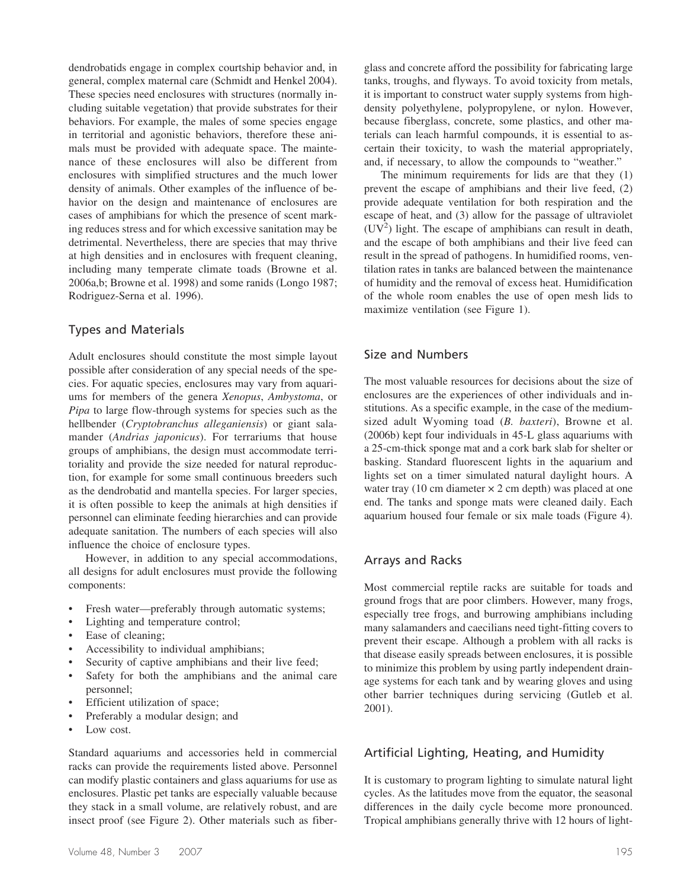dendrobatids engage in complex courtship behavior and, in general, complex maternal care (Schmidt and Henkel 2004). These species need enclosures with structures (normally including suitable vegetation) that provide substrates for their behaviors. For example, the males of some species engage in territorial and agonistic behaviors, therefore these animals must be provided with adequate space. The maintenance of these enclosures will also be different from enclosures with simplified structures and the much lower density of animals. Other examples of the influence of behavior on the design and maintenance of enclosures are cases of amphibians for which the presence of scent marking reduces stress and for which excessive sanitation may be detrimental. Nevertheless, there are species that may thrive at high densities and in enclosures with frequent cleaning, including many temperate climate toads (Browne et al. 2006a,b; Browne et al. 1998) and some ranids (Longo 1987; Rodriguez-Serna et al. 1996).

### Types and Materials

Adult enclosures should constitute the most simple layout possible after consideration of any special needs of the species. For aquatic species, enclosures may vary from aquariums for members of the genera *Xenopus*, *Ambystoma*, or *Pipa* to large flow-through systems for species such as the hellbender (*Cryptobranchus alleganiensis*) or giant salamander (*Andrias japonicus*). For terrariums that house groups of amphibians, the design must accommodate territoriality and provide the size needed for natural reproduction, for example for some small continuous breeders such as the dendrobatid and mantella species. For larger species, it is often possible to keep the animals at high densities if personnel can eliminate feeding hierarchies and can provide adequate sanitation. The numbers of each species will also influence the choice of enclosure types.

However, in addition to any special accommodations, all designs for adult enclosures must provide the following components:

- Fresh water—preferably through automatic systems;
- Lighting and temperature control;
- Ease of cleaning;
- Accessibility to individual amphibians;
- Security of captive amphibians and their live feed;
- Safety for both the amphibians and the animal care personnel;
- Efficient utilization of space;
- Preferably a modular design; and
- Low cost.

Standard aquariums and accessories held in commercial racks can provide the requirements listed above. Personnel can modify plastic containers and glass aquariums for use as enclosures. Plastic pet tanks are especially valuable because they stack in a small volume, are relatively robust, and are insect proof (see Figure 2). Other materials such as fiberglass and concrete afford the possibility for fabricating large tanks, troughs, and flyways. To avoid toxicity from metals, it is important to construct water supply systems from highdensity polyethylene, polypropylene, or nylon. However, because fiberglass, concrete, some plastics, and other materials can leach harmful compounds, it is essential to ascertain their toxicity, to wash the material appropriately, and, if necessary, to allow the compounds to "weather."

The minimum requirements for lids are that they (1) prevent the escape of amphibians and their live feed, (2) provide adequate ventilation for both respiration and the escape of heat, and (3) allow for the passage of ultraviolet  $(UV<sup>2</sup>)$  light. The escape of amphibians can result in death, and the escape of both amphibians and their live feed can result in the spread of pathogens. In humidified rooms, ventilation rates in tanks are balanced between the maintenance of humidity and the removal of excess heat. Humidification of the whole room enables the use of open mesh lids to maximize ventilation (see Figure 1).

#### Size and Numbers

The most valuable resources for decisions about the size of enclosures are the experiences of other individuals and institutions. As a specific example, in the case of the mediumsized adult Wyoming toad (*B. baxteri*), Browne et al. (2006b) kept four individuals in 45-L glass aquariums with a 25-cm-thick sponge mat and a cork bark slab for shelter or basking. Standard fluorescent lights in the aquarium and lights set on a timer simulated natural daylight hours. A water tray (10 cm diameter  $\times$  2 cm depth) was placed at one end. The tanks and sponge mats were cleaned daily. Each aquarium housed four female or six male toads (Figure 4).

#### Arrays and Racks

Most commercial reptile racks are suitable for toads and ground frogs that are poor climbers. However, many frogs, especially tree frogs, and burrowing amphibians including many salamanders and caecilians need tight-fitting covers to prevent their escape. Although a problem with all racks is that disease easily spreads between enclosures, it is possible to minimize this problem by using partly independent drainage systems for each tank and by wearing gloves and using other barrier techniques during servicing (Gutleb et al. 2001).

### Artificial Lighting, Heating, and Humidity

It is customary to program lighting to simulate natural light cycles. As the latitudes move from the equator, the seasonal differences in the daily cycle become more pronounced. Tropical amphibians generally thrive with 12 hours of light-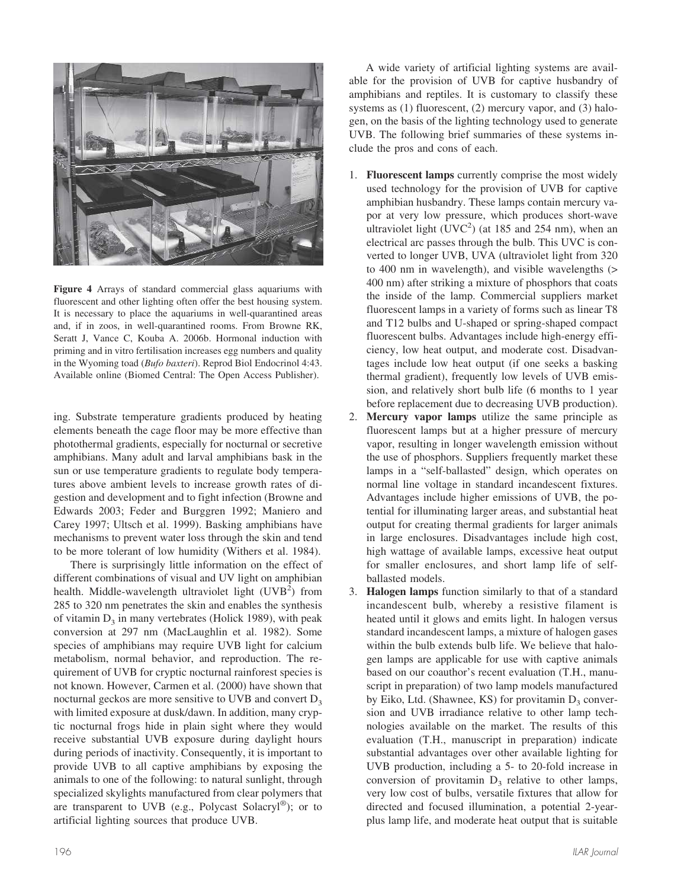

**Figure 4** Arrays of standard commercial glass aquariums with fluorescent and other lighting often offer the best housing system. It is necessary to place the aquariums in well-quarantined areas and, if in zoos, in well-quarantined rooms. From Browne RK, Seratt J, Vance C, Kouba A. 2006b. Hormonal induction with priming and in vitro fertilisation increases egg numbers and quality in the Wyoming toad (*Bufo baxteri*). Reprod Biol Endocrinol 4:43. Available online (Biomed Central: The Open Access Publisher).

ing. Substrate temperature gradients produced by heating elements beneath the cage floor may be more effective than photothermal gradients, especially for nocturnal or secretive amphibians. Many adult and larval amphibians bask in the sun or use temperature gradients to regulate body temperatures above ambient levels to increase growth rates of digestion and development and to fight infection (Browne and Edwards 2003; Feder and Burggren 1992; Maniero and Carey 1997; Ultsch et al. 1999). Basking amphibians have mechanisms to prevent water loss through the skin and tend to be more tolerant of low humidity (Withers et al. 1984).

There is surprisingly little information on the effect of different combinations of visual and UV light on amphibian health. Middle-wavelength ultraviolet light  $(UVB^2)$  from 285 to 320 nm penetrates the skin and enables the synthesis of vitamin  $D_3$  in many vertebrates (Holick 1989), with peak conversion at 297 nm (MacLaughlin et al. 1982). Some species of amphibians may require UVB light for calcium metabolism, normal behavior, and reproduction. The requirement of UVB for cryptic nocturnal rainforest species is not known. However, Carmen et al. (2000) have shown that nocturnal geckos are more sensitive to UVB and convert  $D<sub>3</sub>$ with limited exposure at dusk/dawn. In addition, many cryptic nocturnal frogs hide in plain sight where they would receive substantial UVB exposure during daylight hours during periods of inactivity. Consequently, it is important to provide UVB to all captive amphibians by exposing the animals to one of the following: to natural sunlight, through specialized skylights manufactured from clear polymers that are transparent to UVB (e.g., Polycast Solacryl<sup>®</sup>); or to artificial lighting sources that produce UVB.

A wide variety of artificial lighting systems are available for the provision of UVB for captive husbandry of amphibians and reptiles. It is customary to classify these systems as (1) fluorescent, (2) mercury vapor, and (3) halogen, on the basis of the lighting technology used to generate UVB. The following brief summaries of these systems include the pros and cons of each.

- 1. **Fluorescent lamps** currently comprise the most widely used technology for the provision of UVB for captive amphibian husbandry. These lamps contain mercury vapor at very low pressure, which produces short-wave ultraviolet light  $(\text{UVC}^2)$  (at 185 and 254 nm), when an electrical arc passes through the bulb. This UVC is converted to longer UVB, UVA (ultraviolet light from 320 to 400 nm in wavelength), and visible wavelengths (> 400 nm) after striking a mixture of phosphors that coats the inside of the lamp. Commercial suppliers market fluorescent lamps in a variety of forms such as linear T8 and T12 bulbs and U-shaped or spring-shaped compact fluorescent bulbs. Advantages include high-energy efficiency, low heat output, and moderate cost. Disadvantages include low heat output (if one seeks a basking thermal gradient), frequently low levels of UVB emission, and relatively short bulb life (6 months to 1 year before replacement due to decreasing UVB production).
- 2. **Mercury vapor lamps** utilize the same principle as fluorescent lamps but at a higher pressure of mercury vapor, resulting in longer wavelength emission without the use of phosphors. Suppliers frequently market these lamps in a "self-ballasted" design, which operates on normal line voltage in standard incandescent fixtures. Advantages include higher emissions of UVB, the potential for illuminating larger areas, and substantial heat output for creating thermal gradients for larger animals in large enclosures. Disadvantages include high cost, high wattage of available lamps, excessive heat output for smaller enclosures, and short lamp life of selfballasted models.
- 3. **Halogen lamps** function similarly to that of a standard incandescent bulb, whereby a resistive filament is heated until it glows and emits light. In halogen versus standard incandescent lamps, a mixture of halogen gases within the bulb extends bulb life. We believe that halogen lamps are applicable for use with captive animals based on our coauthor's recent evaluation (T.H., manuscript in preparation) of two lamp models manufactured by Eiko, Ltd. (Shawnee, KS) for provitamin  $D_3$  conversion and UVB irradiance relative to other lamp technologies available on the market. The results of this evaluation (T.H., manuscript in preparation) indicate substantial advantages over other available lighting for UVB production, including a 5- to 20-fold increase in conversion of provitamin  $D_3$  relative to other lamps, very low cost of bulbs, versatile fixtures that allow for directed and focused illumination, a potential 2-yearplus lamp life, and moderate heat output that is suitable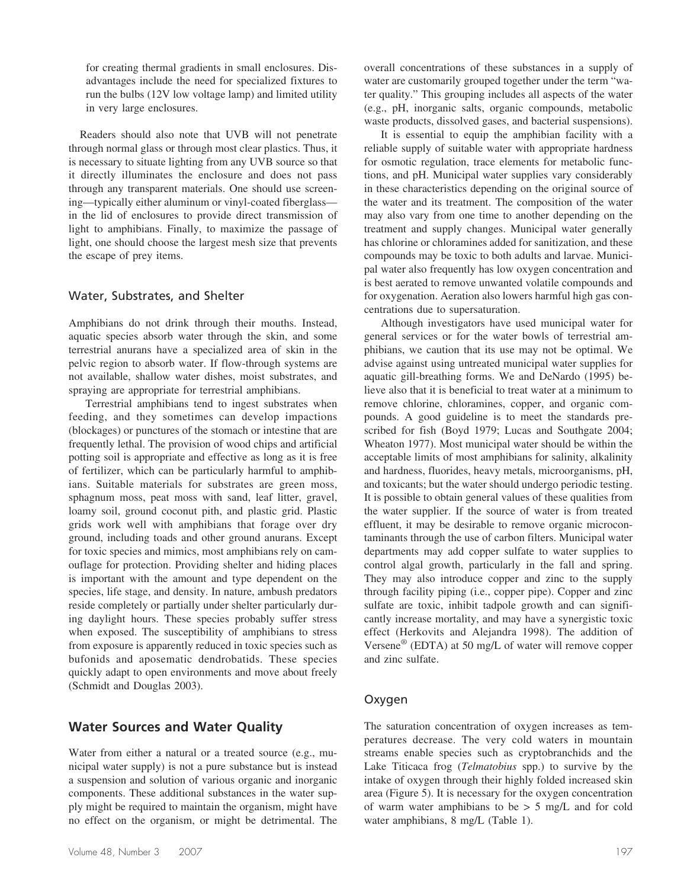for creating thermal gradients in small enclosures. Disadvantages include the need for specialized fixtures to run the bulbs (12V low voltage lamp) and limited utility in very large enclosures.

Readers should also note that UVB will not penetrate through normal glass or through most clear plastics. Thus, it is necessary to situate lighting from any UVB source so that it directly illuminates the enclosure and does not pass through any transparent materials. One should use screening—typically either aluminum or vinyl-coated fiberglass in the lid of enclosures to provide direct transmission of light to amphibians. Finally, to maximize the passage of light, one should choose the largest mesh size that prevents the escape of prey items.

### Water, Substrates, and Shelter

Amphibians do not drink through their mouths. Instead, aquatic species absorb water through the skin, and some terrestrial anurans have a specialized area of skin in the pelvic region to absorb water. If flow-through systems are not available, shallow water dishes, moist substrates, and spraying are appropriate for terrestrial amphibians.

Terrestrial amphibians tend to ingest substrates when feeding, and they sometimes can develop impactions (blockages) or punctures of the stomach or intestine that are frequently lethal. The provision of wood chips and artificial potting soil is appropriate and effective as long as it is free of fertilizer, which can be particularly harmful to amphibians. Suitable materials for substrates are green moss, sphagnum moss, peat moss with sand, leaf litter, gravel, loamy soil, ground coconut pith, and plastic grid. Plastic grids work well with amphibians that forage over dry ground, including toads and other ground anurans. Except for toxic species and mimics, most amphibians rely on camouflage for protection. Providing shelter and hiding places is important with the amount and type dependent on the species, life stage, and density. In nature, ambush predators reside completely or partially under shelter particularly during daylight hours. These species probably suffer stress when exposed. The susceptibility of amphibians to stress from exposure is apparently reduced in toxic species such as bufonids and aposematic dendrobatids. These species quickly adapt to open environments and move about freely (Schmidt and Douglas 2003).

# **Water Sources and Water Quality**

Water from either a natural or a treated source (e.g., municipal water supply) is not a pure substance but is instead a suspension and solution of various organic and inorganic components. These additional substances in the water supply might be required to maintain the organism, might have no effect on the organism, or might be detrimental. The

overall concentrations of these substances in a supply of water are customarily grouped together under the term "water quality." This grouping includes all aspects of the water (e.g., pH, inorganic salts, organic compounds, metabolic waste products, dissolved gases, and bacterial suspensions).

It is essential to equip the amphibian facility with a reliable supply of suitable water with appropriate hardness for osmotic regulation, trace elements for metabolic functions, and pH. Municipal water supplies vary considerably in these characteristics depending on the original source of the water and its treatment. The composition of the water may also vary from one time to another depending on the treatment and supply changes. Municipal water generally has chlorine or chloramines added for sanitization, and these compounds may be toxic to both adults and larvae. Municipal water also frequently has low oxygen concentration and is best aerated to remove unwanted volatile compounds and for oxygenation. Aeration also lowers harmful high gas concentrations due to supersaturation.

Although investigators have used municipal water for general services or for the water bowls of terrestrial amphibians, we caution that its use may not be optimal. We advise against using untreated municipal water supplies for aquatic gill-breathing forms. We and DeNardo (1995) believe also that it is beneficial to treat water at a minimum to remove chlorine, chloramines, copper, and organic compounds. A good guideline is to meet the standards prescribed for fish (Boyd 1979; Lucas and Southgate 2004; Wheaton 1977). Most municipal water should be within the acceptable limits of most amphibians for salinity, alkalinity and hardness, fluorides, heavy metals, microorganisms, pH, and toxicants; but the water should undergo periodic testing. It is possible to obtain general values of these qualities from the water supplier. If the source of water is from treated effluent, it may be desirable to remove organic microcontaminants through the use of carbon filters. Municipal water departments may add copper sulfate to water supplies to control algal growth, particularly in the fall and spring. They may also introduce copper and zinc to the supply through facility piping (i.e., copper pipe). Copper and zinc sulfate are toxic, inhibit tadpole growth and can significantly increase mortality, and may have a synergistic toxic effect (Herkovits and Alejandra 1998). The addition of Versene® (EDTA) at 50 mg/L of water will remove copper and zinc sulfate.

### Oxygen

The saturation concentration of oxygen increases as temperatures decrease. The very cold waters in mountain streams enable species such as cryptobranchids and the Lake Titicaca frog (*Telmatobius* spp.) to survive by the intake of oxygen through their highly folded increased skin area (Figure 5). It is necessary for the oxygen concentration of warm water amphibians to be  $> 5$  mg/L and for cold water amphibians, 8 mg/L (Table 1).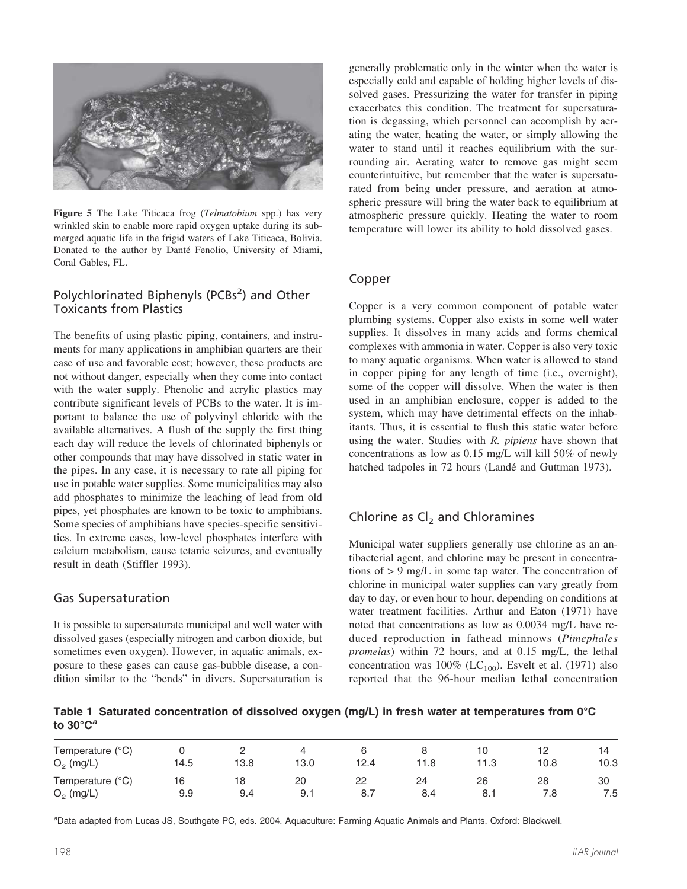

**Figure 5** The Lake Titicaca frog (*Telmatobium* spp.) has very wrinkled skin to enable more rapid oxygen uptake during its submerged aquatic life in the frigid waters of Lake Titicaca, Bolivia. Donated to the author by Danté Fenolio, University of Miami, Coral Gables, FL.

## Polychlorinated Biphenyls (PCBs<sup>2</sup>) and Other Toxicants from Plastics

The benefits of using plastic piping, containers, and instruments for many applications in amphibian quarters are their ease of use and favorable cost; however, these products are not without danger, especially when they come into contact with the water supply. Phenolic and acrylic plastics may contribute significant levels of PCBs to the water. It is important to balance the use of polyvinyl chloride with the available alternatives. A flush of the supply the first thing each day will reduce the levels of chlorinated biphenyls or other compounds that may have dissolved in static water in the pipes. In any case, it is necessary to rate all piping for use in potable water supplies. Some municipalities may also add phosphates to minimize the leaching of lead from old pipes, yet phosphates are known to be toxic to amphibians. Some species of amphibians have species-specific sensitivities. In extreme cases, low-level phosphates interfere with calcium metabolism, cause tetanic seizures, and eventually result in death (Stiffler 1993).

#### Gas Supersaturation

It is possible to supersaturate municipal and well water with dissolved gases (especially nitrogen and carbon dioxide, but sometimes even oxygen). However, in aquatic animals, exposure to these gases can cause gas-bubble disease, a condition similar to the "bends" in divers. Supersaturation is

generally problematic only in the winter when the water is especially cold and capable of holding higher levels of dissolved gases. Pressurizing the water for transfer in piping exacerbates this condition. The treatment for supersaturation is degassing, which personnel can accomplish by aerating the water, heating the water, or simply allowing the water to stand until it reaches equilibrium with the surrounding air. Aerating water to remove gas might seem counterintuitive, but remember that the water is supersaturated from being under pressure, and aeration at atmospheric pressure will bring the water back to equilibrium at atmospheric pressure quickly. Heating the water to room temperature will lower its ability to hold dissolved gases.

### Copper

Copper is a very common component of potable water plumbing systems. Copper also exists in some well water supplies. It dissolves in many acids and forms chemical complexes with ammonia in water. Copper is also very toxic to many aquatic organisms. When water is allowed to stand in copper piping for any length of time (i.e., overnight), some of the copper will dissolve. When the water is then used in an amphibian enclosure, copper is added to the system, which may have detrimental effects on the inhabitants. Thus, it is essential to flush this static water before using the water. Studies with *R. pipiens* have shown that concentrations as low as 0.15 mg/L will kill 50% of newly hatched tadpoles in 72 hours (Landé and Guttman 1973).

### Chlorine as  $Cl<sub>2</sub>$  and Chloramines

Municipal water suppliers generally use chlorine as an antibacterial agent, and chlorine may be present in concentrations of > 9 mg/L in some tap water. The concentration of chlorine in municipal water supplies can vary greatly from day to day, or even hour to hour, depending on conditions at water treatment facilities. Arthur and Eaton (1971) have noted that concentrations as low as 0.0034 mg/L have reduced reproduction in fathead minnows (*Pimephales promelas*) within 72 hours, and at 0.15 mg/L, the lethal concentration was  $100\%$  (LC<sub>100</sub>). Esvelt et al. (1971) also reported that the 96-hour median lethal concentration

**Table 1 Saturated concentration of dissolved oxygen (mg/L) in fresh water at temperatures from 0°C to 30°C***<sup>a</sup>*

|           |           | 4         |           |           |          | 12        | 14        |
|-----------|-----------|-----------|-----------|-----------|----------|-----------|-----------|
| 14.5      | 13.8      | 13.0      | 12.4      | 11.8      | 11.3     | 10.8      | 10.3      |
| 16<br>9.9 | 18<br>9.4 | 20<br>9.1 | 22<br>8.7 | 24<br>8.4 | 26<br>8. | 28<br>7.8 | 30<br>7.5 |
|           |           |           |           |           |          |           |           |

*a* Data adapted from Lucas JS, Southgate PC, eds. 2004. Aquaculture: Farming Aquatic Animals and Plants. Oxford: Blackwell.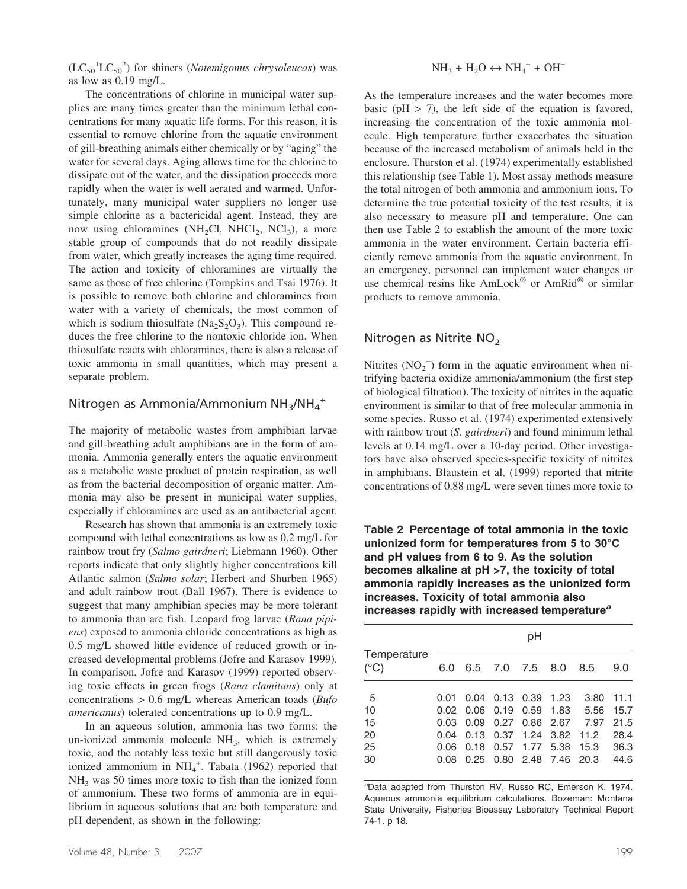$(LC_{50}^{1}LC_{50}^{2})$  for shiners (*Notemigonus chrysoleucas*) was as low as 0.19 mg/L.

The concentrations of chlorine in municipal water supplies are many times greater than the minimum lethal concentrations for many aquatic life forms. For this reason, it is essential to remove chlorine from the aquatic environment of gill-breathing animals either chemically or by "aging" the water for several days. Aging allows time for the chlorine to dissipate out of the water, and the dissipation proceeds more rapidly when the water is well aerated and warmed. Unfortunately, many municipal water suppliers no longer use simple chlorine as a bactericidal agent. Instead, they are now using chloramines (NH<sub>2</sub>Cl, NHCI<sub>2</sub>, NCl<sub>3</sub>), a more stable group of compounds that do not readily dissipate from water, which greatly increases the aging time required. The action and toxicity of chloramines are virtually the same as those of free chlorine (Tompkins and Tsai 1976). It is possible to remove both chlorine and chloramines from water with a variety of chemicals, the most common of which is sodium thiosulfate  $(Na_2S_2O_3)$ . This compound reduces the free chlorine to the nontoxic chloride ion. When thiosulfate reacts with chloramines, there is also a release of toxic ammonia in small quantities, which may present a separate problem.

# Nitrogen as Ammonia/Ammonium  $NH_{3}/NH_{4}^{+}$

The majority of metabolic wastes from amphibian larvae and gill-breathing adult amphibians are in the form of ammonia. Ammonia generally enters the aquatic environment as a metabolic waste product of protein respiration, as well as from the bacterial decomposition of organic matter. Ammonia may also be present in municipal water supplies, especially if chloramines are used as an antibacterial agent.

Research has shown that ammonia is an extremely toxic compound with lethal concentrations as low as 0.2 mg/L for rainbow trout fry (*Salmo gairdneri*; Liebmann 1960). Other reports indicate that only slightly higher concentrations kill Atlantic salmon (*Salmo solar*; Herbert and Shurben 1965) and adult rainbow trout (Ball 1967). There is evidence to suggest that many amphibian species may be more tolerant to ammonia than are fish. Leopard frog larvae (*Rana pipiens*) exposed to ammonia chloride concentrations as high as 0.5 mg/L showed little evidence of reduced growth or increased developmental problems (Jofre and Karasov 1999). In comparison, Jofre and Karasov (1999) reported observing toxic effects in green frogs (*Rana clamitans*) only at concentrations > 0.6 mg/L whereas American toads (*Bufo americanus*) tolerated concentrations up to 0.9 mg/L.

In an aqueous solution, ammonia has two forms: the un-ionized ammonia molecule  $NH<sub>3</sub>$ , which is extremely toxic, and the notably less toxic but still dangerously toxic ionized ammonium in  $NH_4^+$ . Tabata (1962) reported that  $NH<sub>3</sub>$  was 50 times more toxic to fish than the ionized form of ammonium. These two forms of ammonia are in equilibrium in aqueous solutions that are both temperature and pH dependent, as shown in the following:

$$
NH_3 + H_2O \leftrightarrow NH_4^+ + OH^-
$$

As the temperature increases and the water becomes more basic ( $pH > 7$ ), the left side of the equation is favored, increasing the concentration of the toxic ammonia molecule. High temperature further exacerbates the situation because of the increased metabolism of animals held in the enclosure. Thurston et al. (1974) experimentally established this relationship (see Table 1). Most assay methods measure the total nitrogen of both ammonia and ammonium ions. To determine the true potential toxicity of the test results, it is also necessary to measure pH and temperature. One can then use Table 2 to establish the amount of the more toxic ammonia in the water environment. Certain bacteria efficiently remove ammonia from the aquatic environment. In an emergency, personnel can implement water changes or use chemical resins like AmLock® or AmRid® or similar products to remove ammonia.

## Nitrogen as Nitrite NO<sub>2</sub>

Nitrites  $(NO<sub>2</sub><sup>-</sup>)$  form in the aquatic environment when nitrifying bacteria oxidize ammonia/ammonium (the first step of biological filtration). The toxicity of nitrites in the aquatic environment is similar to that of free molecular ammonia in some species. Russo et al. (1974) experimented extensively with rainbow trout (*S. gairdneri*) and found minimum lethal levels at 0.14 mg/L over a 10-day period. Other investigators have also observed species-specific toxicity of nitrites in amphibians. Blaustein et al. (1999) reported that nitrite concentrations of 0.88 mg/L were seven times more toxic to

**Table 2 Percentage of total ammonia in the toxic unionized form for temperatures from 5 to 30°C and pH values from 6 to 9. As the solution becomes alkaline at pH >7, the toxicity of total ammonia rapidly increases as the unionized form increases. Toxicity of total ammonia also increases rapidly with increased temperature***<sup>a</sup>*

|                              | рH                |      |                |                          |           |                          |      |  |  |
|------------------------------|-------------------|------|----------------|--------------------------|-----------|--------------------------|------|--|--|
| Temperature<br>$(^{\circ}C)$ | 6.0               |      |                | 6.5 7.0 7.5 8.0          |           | 8.5                      | 9.0  |  |  |
| -5                           | 0.01              |      | 0.04 0.13 0.39 |                          | 1.23      | 3.80                     | 11.1 |  |  |
| 10                           | 0.02 <sub>1</sub> |      | $0.06$ $0.19$  |                          | 0.59 1.83 | 5.56                     | 15.7 |  |  |
| 15                           | 0.03              | 0.09 |                |                          |           | 0.27 0.86 2.67 7.97      | 21.5 |  |  |
| 20                           | 0.04              |      |                | 0.13 0.37 1.24 3.82 11.2 |           |                          | 28.4 |  |  |
| 25                           | 0.06              | 0.18 |                | 0.57 1.77 5.38           |           | 15.3                     | 36.3 |  |  |
| 30                           | 0.08              |      |                |                          |           | 0.25 0.80 2.48 7.46 20.3 | 44.6 |  |  |

*a* Data adapted from Thurston RV, Russo RC, Emerson K. 1974. Aqueous ammonia equilibrium calculations. Bozeman: Montana State University, Fisheries Bioassay Laboratory Technical Report 74-1. p 18.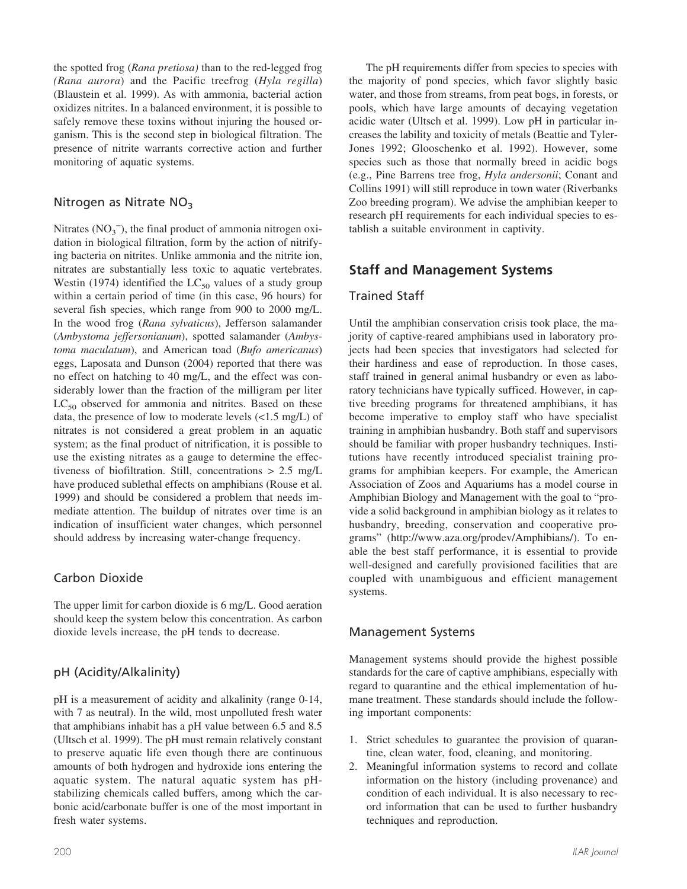the spotted frog (*Rana pretiosa)* than to the red-legged frog *(Rana aurora*) and the Pacific treefrog (*Hyla regilla*) (Blaustein et al. 1999). As with ammonia, bacterial action oxidizes nitrites. In a balanced environment, it is possible to safely remove these toxins without injuring the housed organism. This is the second step in biological filtration. The presence of nitrite warrants corrective action and further monitoring of aquatic systems.

### Nitrogen as Nitrate NO<sub>3</sub>

Nitrates  $(NO<sub>3</sub><sup>-</sup>)$ , the final product of ammonia nitrogen oxidation in biological filtration, form by the action of nitrifying bacteria on nitrites. Unlike ammonia and the nitrite ion, nitrates are substantially less toxic to aquatic vertebrates. Westin (1974) identified the  $LC_{50}$  values of a study group within a certain period of time (in this case, 96 hours) for several fish species, which range from 900 to 2000 mg/L. In the wood frog (*Rana sylvaticus*), Jefferson salamander (*Ambystoma jeffersonianum*), spotted salamander (*Ambystoma maculatum*), and American toad (*Bufo americanus*) eggs, Laposata and Dunson (2004) reported that there was no effect on hatching to 40 mg/L, and the effect was considerably lower than the fraction of the milligram per liter  $LC_{50}$  observed for ammonia and nitrites. Based on these data, the presence of low to moderate levels  $\left($ <1.5 mg/L) of nitrates is not considered a great problem in an aquatic system; as the final product of nitrification, it is possible to use the existing nitrates as a gauge to determine the effectiveness of biofiltration. Still, concentrations > 2.5 mg/L have produced sublethal effects on amphibians (Rouse et al. 1999) and should be considered a problem that needs immediate attention. The buildup of nitrates over time is an indication of insufficient water changes, which personnel should address by increasing water-change frequency.

### Carbon Dioxide

The upper limit for carbon dioxide is 6 mg/L. Good aeration should keep the system below this concentration. As carbon dioxide levels increase, the pH tends to decrease.

# pH (Acidity/Alkalinity)

pH is a measurement of acidity and alkalinity (range 0-14, with 7 as neutral). In the wild, most unpolluted fresh water that amphibians inhabit has a pH value between 6.5 and 8.5 (Ultsch et al. 1999). The pH must remain relatively constant to preserve aquatic life even though there are continuous amounts of both hydrogen and hydroxide ions entering the aquatic system. The natural aquatic system has pHstabilizing chemicals called buffers, among which the carbonic acid/carbonate buffer is one of the most important in fresh water systems.

The pH requirements differ from species to species with the majority of pond species, which favor slightly basic water, and those from streams, from peat bogs, in forests, or pools, which have large amounts of decaying vegetation acidic water (Ultsch et al. 1999). Low pH in particular increases the lability and toxicity of metals (Beattie and Tyler-Jones 1992; Glooschenko et al. 1992). However, some species such as those that normally breed in acidic bogs (e.g., Pine Barrens tree frog, *Hyla andersonii*; Conant and Collins 1991) will still reproduce in town water (Riverbanks Zoo breeding program). We advise the amphibian keeper to research pH requirements for each individual species to establish a suitable environment in captivity.

# **Staff and Management Systems**

## Trained Staff

Until the amphibian conservation crisis took place, the majority of captive-reared amphibians used in laboratory projects had been species that investigators had selected for their hardiness and ease of reproduction. In those cases, staff trained in general animal husbandry or even as laboratory technicians have typically sufficed. However, in captive breeding programs for threatened amphibians, it has become imperative to employ staff who have specialist training in amphibian husbandry. Both staff and supervisors should be familiar with proper husbandry techniques. Institutions have recently introduced specialist training programs for amphibian keepers. For example, the American Association of Zoos and Aquariums has a model course in Amphibian Biology and Management with the goal to "provide a solid background in amphibian biology as it relates to husbandry, breeding, conservation and cooperative programs" (http://www.aza.org/prodev/Amphibians/). To enable the best staff performance, it is essential to provide well-designed and carefully provisioned facilities that are coupled with unambiguous and efficient management systems.

### Management Systems

Management systems should provide the highest possible standards for the care of captive amphibians, especially with regard to quarantine and the ethical implementation of humane treatment. These standards should include the following important components:

- 1. Strict schedules to guarantee the provision of quarantine, clean water, food, cleaning, and monitoring.
- 2. Meaningful information systems to record and collate information on the history (including provenance) and condition of each individual. It is also necessary to record information that can be used to further husbandry techniques and reproduction.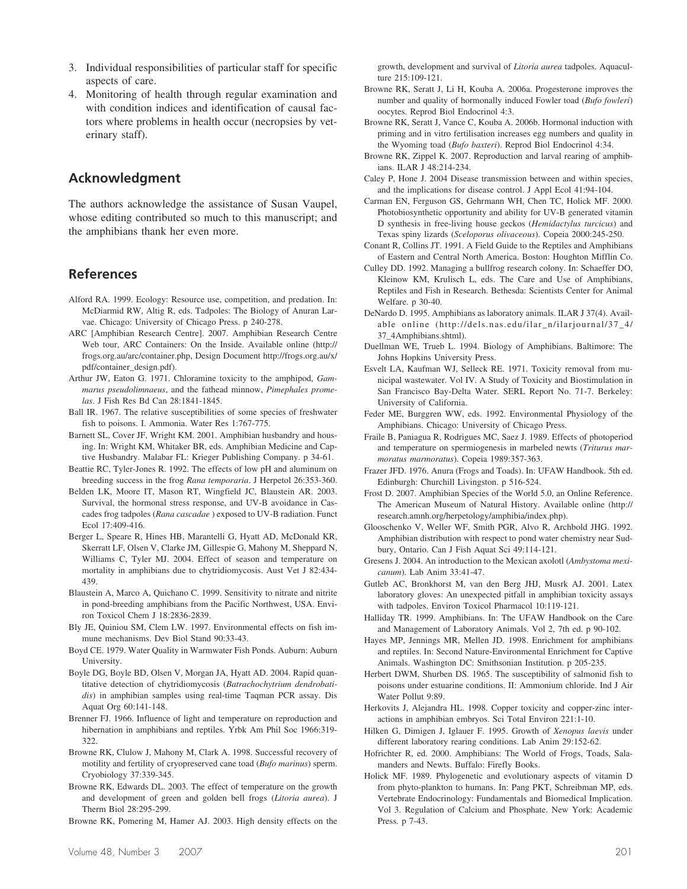- 3. Individual responsibilities of particular staff for specific aspects of care.
- 4. Monitoring of health through regular examination and with condition indices and identification of causal factors where problems in health occur (necropsies by veterinary staff).

## **Acknowledgment**

The authors acknowledge the assistance of Susan Vaupel, whose editing contributed so much to this manuscript; and the amphibians thank her even more.

### **References**

- Alford RA. 1999. Ecology: Resource use, competition, and predation. In: McDiarmid RW, Altig R, eds. Tadpoles: The Biology of Anuran Larvae. Chicago: University of Chicago Press. p 240-278.
- ARC [Amphibian Research Centre]. 2007. Amphibian Research Centre Web tour, ARC Containers: On the Inside. Available online (http:// frogs.org.au/arc/container.php, Design Document http://frogs.org.au/x/ pdf/container\_design.pdf).
- Arthur JW, Eaton G. 1971. Chloramine toxicity to the amphipod, *Gammarus pseudolimnaeus*, and the fathead minnow, *Pimephales promelas*. J Fish Res Bd Can 28:1841-1845.
- Ball IR. 1967. The relative susceptibilities of some species of freshwater fish to poisons. I. Ammonia. Water Res 1:767-775.
- Barnett SL, Cover JF, Wright KM. 2001. Amphibian husbandry and housing. In: Wright KM, Whitaker BR, eds. Amphibian Medicine and Captive Husbandry. Malabar FL: Krieger Publishing Company. p 34-61.
- Beattie RC, Tyler-Jones R. 1992. The effects of low pH and aluminum on breeding success in the frog *Rana temporaria*. J Herpetol 26:353-360.
- Belden LK, Moore IT, Mason RT, Wingfield JC, Blaustein AR. 2003. Survival, the hormonal stress response, and UV-B avoidance in Cascades frog tadpoles (*Rana cascadae* ) exposed to UV-B radiation. Funct Ecol 17:409-416.
- Berger L, Speare R, Hines HB, Marantelli G, Hyatt AD, McDonald KR, Skerratt LF, Olsen V, Clarke JM, Gillespie G, Mahony M, Sheppard N, Williams C, Tyler MJ. 2004. Effect of season and temperature on mortality in amphibians due to chytridiomycosis. Aust Vet J 82:434- 439.
- Blaustein A, Marco A, Quichano C. 1999. Sensitivity to nitrate and nitrite in pond-breeding amphibians from the Pacific Northwest, USA. Environ Toxicol Chem J 18:2836-2839.
- Bly JE, Quiniou SM, Clem LW. 1997. Environmental effects on fish immune mechanisms. Dev Biol Stand 90:33-43.
- Boyd CE. 1979. Water Quality in Warmwater Fish Ponds. Auburn: Auburn University.
- Boyle DG, Boyle BD, Olsen V, Morgan JA, Hyatt AD. 2004. Rapid quantitative detection of chytridiomycosis (*Batrachochytrium dendrobatidis*) in amphibian samples using real-time Taqman PCR assay. Dis Aquat Org 60:141-148.
- Brenner FJ. 1966. Influence of light and temperature on reproduction and hibernation in amphibians and reptiles. Yrbk Am Phil Soc 1966:319- 322.
- Browne RK, Clulow J, Mahony M, Clark A. 1998. Successful recovery of motility and fertility of cryopreserved cane toad (*Bufo marinus*) sperm. Cryobiology 37:339-345.
- Browne RK, Edwards DL. 2003. The effect of temperature on the growth and development of green and golden bell frogs (*Litoria aurea*). J Therm Biol 28:295-299.

Browne RK, Pomering M, Hamer AJ. 2003. High density effects on the

growth, development and survival of *Litoria aurea* tadpoles. Aquaculture 215:109-121.

- Browne RK, Seratt J, Li H, Kouba A. 2006a. Progesterone improves the number and quality of hormonally induced Fowler toad (*Bufo fowleri*) oocytes. Reprod Biol Endocrinol 4:3.
- Browne RK, Seratt J, Vance C, Kouba A. 2006b. Hormonal induction with priming and in vitro fertilisation increases egg numbers and quality in the Wyoming toad (*Bufo baxteri*). Reprod Biol Endocrinol 4:34.
- Browne RK, Zippel K. 2007. Reproduction and larval rearing of amphibians. ILAR J 48:214-234.
- Caley P, Hone J. 2004 Disease transmission between and within species, and the implications for disease control. J Appl Ecol 41:94-104.
- Carman EN, Ferguson GS, Gehrmann WH, Chen TC, Holick MF. 2000. Photobiosynthetic opportunity and ability for UV-B generated vitamin D synthesis in free-living house geckos (*Hemidactylus turcicus*) and Texas spiny lizards (*Sceloporus olivaceous*). Copeia 2000:245-250.
- Conant R, Collins JT. 1991. A Field Guide to the Reptiles and Amphibians of Eastern and Central North America. Boston: Houghton Mifflin Co.
- Culley DD. 1992. Managing a bullfrog research colony. In: Schaeffer DO, Kleinow KM, Krulisch L, eds. The Care and Use of Amphibians, Reptiles and Fish in Research. Bethesda: Scientists Center for Animal Welfare. p 30-40.
- DeNardo D. 1995. Amphibians as laboratory animals. ILAR J 37(4). Available online (http://dels.nas.edu/ilar\_n/ilarjournal/37\_4/ 37\_4Amphibians.shtml).
- Duellman WE, Trueb L. 1994. Biology of Amphibians. Baltimore: The Johns Hopkins University Press.
- Esvelt LA, Kaufman WJ, Selleck RE. 1971. Toxicity removal from municipal wastewater. Vol IV. A Study of Toxicity and Biostimulation in San Francisco Bay-Delta Water. SERL Report No. 71-7. Berkeley: University of California.
- Feder ME, Burggren WW, eds. 1992. Environmental Physiology of the Amphibians. Chicago: University of Chicago Press.
- Fraile B, Paniagua R, Rodrigues MC, Saez J. 1989. Effects of photoperiod and temperature on spermiogenesis in marbeled newts (*Triturus marmoratus marmoratus*). Copeia 1989:357-363.
- Frazer JFD. 1976. Anura (Frogs and Toads). In: UFAW Handbook. 5th ed. Edinburgh: Churchill Livingston. p 516-524.
- Frost D. 2007. Amphibian Species of the World 5.0, an Online Reference. The American Museum of Natural History. Available online (http:// research.amnh.org/herpetology/amphibia/index.php).
- Glooschenko V, Weller WF, Smith PGR, Alvo R, Archbold JHG. 1992. Amphibian distribution with respect to pond water chemistry near Sudbury, Ontario. Can J Fish Aquat Sci 49:114-121.
- Gresens J. 2004. An introduction to the Mexican axolotl (*Ambystoma mexicanum*). Lab Anim 33:41-47.
- Gutleb AC, Bronkhorst M, van den Berg JHJ, Musrk AJ. 2001. Latex laboratory gloves: An unexpected pitfall in amphibian toxicity assays with tadpoles. Environ Toxicol Pharmacol 10:119-121.
- Halliday TR. 1999. Amphibians. In: The UFAW Handbook on the Care and Management of Laboratory Animals. Vol 2, 7th ed. p 90-102.
- Hayes MP, Jennings MR, Mellen JD. 1998. Enrichment for amphibians and reptiles. In: Second Nature-Environmental Enrichment for Captive Animals. Washington DC: Smithsonian Institution. p 205-235.
- Herbert DWM, Shurben DS. 1965. The susceptibility of salmonid fish to poisons under estuarine conditions. II: Ammonium chloride. Ind J Air Water Pollut 9:89.
- Herkovits J, Alejandra HL. 1998. Copper toxicity and copper-zinc interactions in amphibian embryos. Sci Total Environ 221:1-10.
- Hilken G, Dimigen J, Iglauer F. 1995. Growth of *Xenopus laevis* under different laboratory rearing conditions. Lab Anim 29:152-62.
- Hofrichter R, ed. 2000. Amphibians: The World of Frogs, Toads, Salamanders and Newts. Buffalo: Firefly Books.
- Holick MF. 1989. Phylogenetic and evolutionary aspects of vitamin D from phyto-plankton to humans. In: Pang PKT, Schreibman MP, eds. Vertebrate Endocrinology: Fundamentals and Biomedical Implication. Vol 3. Regulation of Calcium and Phosphate. New York: Academic Press. p 7-43.